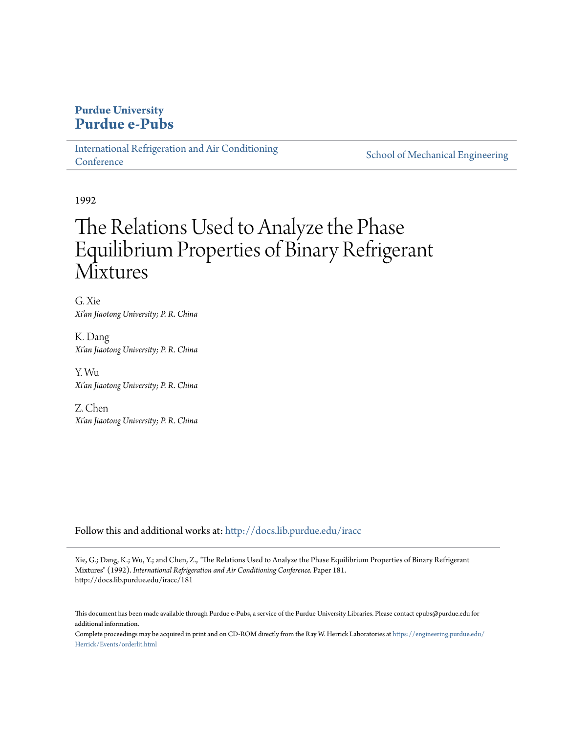# **Purdue University [Purdue e-Pubs](http://docs.lib.purdue.edu?utm_source=docs.lib.purdue.edu%2Firacc%2F181&utm_medium=PDF&utm_campaign=PDFCoverPages)**

[International Refrigeration and Air Conditioning](http://docs.lib.purdue.edu/iracc?utm_source=docs.lib.purdue.edu%2Firacc%2F181&utm_medium=PDF&utm_campaign=PDFCoverPages) **[Conference](http://docs.lib.purdue.edu/iracc?utm_source=docs.lib.purdue.edu%2Firacc%2F181&utm_medium=PDF&utm_campaign=PDFCoverPages)** 

[School of Mechanical Engineering](http://docs.lib.purdue.edu/me?utm_source=docs.lib.purdue.edu%2Firacc%2F181&utm_medium=PDF&utm_campaign=PDFCoverPages)

1992

# The Relations Used to Analyze the Phase Equilibrium Properties of Binary Refrigerant **Mixtures**

G. Xie *Xi'an Jiaotong University; P. R. China*

K. Dang *Xi'an Jiaotong University; P. R. China*

Y. Wu *Xi'an Jiaotong University; P. R. China*

Z. Chen *Xi'an Jiaotong University; P. R. China*

Follow this and additional works at: [http://docs.lib.purdue.edu/iracc](http://docs.lib.purdue.edu/iracc?utm_source=docs.lib.purdue.edu%2Firacc%2F181&utm_medium=PDF&utm_campaign=PDFCoverPages)

Xie, G.; Dang, K.; Wu, Y.; and Chen, Z., "The Relations Used to Analyze the Phase Equilibrium Properties of Binary Refrigerant Mixtures" (1992). *International Refrigeration and Air Conditioning Conference.* Paper 181. http://docs.lib.purdue.edu/iracc/181

This document has been made available through Purdue e-Pubs, a service of the Purdue University Libraries. Please contact epubs@purdue.edu for additional information.

Complete proceedings may be acquired in print and on CD-ROM directly from the Ray W. Herrick Laboratories at [https://engineering.purdue.edu/](https://engineering.purdue.edu/Herrick/Events/orderlit.html) [Herrick/Events/orderlit.html](https://engineering.purdue.edu/Herrick/Events/orderlit.html)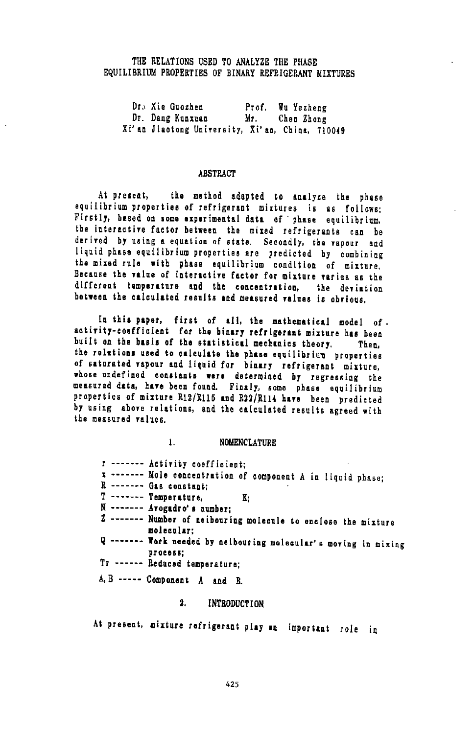#### THE RELATIONS USED TO ANALYZE THE PHASE EQUILIBRIUM PROPERTIES OF BINARY REFRIGERANT MIXTURES

Dr. Xie Guozhen - Prof. Wu Yezheng<br>Dr. Dang Kunxuan - Mr. - Chen Zhong Dr. Dang Kunxuan Mr. Chen Zhong<br>Xi'an Jiaotong University, Xi'an, China, 710049

#### ABSTRACT

At present, the method adapted to analyze the phase equilibrium properties of refrigerant mixtures is as follows: Firstly, based on some experimental data of· phase equilibrium, the interactire factor bet~een the mixed refrigerants can be derived by using a equation of state. Secondly, the rapour and liquid phase equilibrium properties are predicted by combining the mixed rule with phase equilibrium condition of mixture. Because the value of interactive factor for mixture varies as the different temperature and the concentration, the deviation between the calculated results and metsured ralues is obrious.

In this paper, first of all, the mathematical model of.<br>activity-cosfficient for the binary refrigerant mixture has been built on the basis of the statistical mechanics theory. Then,<br>the relations used to calculate the phase equilibrics properties of saturated vapour and liquid for binary refrigerant mixture,<br>whose undefined constants were determined by regressing the<br>measured data, have been found. Finaly, some phase equilibrium<br>properties of mixture R12/R115 and R by using above relations, and the calculated results agreed with the measured values.

#### !. NOMENCLATURE

r ------ $x$  ------- Mole concentration of component A in liquid phase; R ------- Gas constant;  $T$  ------- Temperature,  $K_i$ N ------ Avogadro's number; Z ------- Number of neibouring molecule to enclose the mixture molecular: Q ------- Work needed by neibouring molecular's moving in mixing process; Tr ------ Reduced temperature; A,B -----Component A and B.

### 2. INTRODUCTION

At present, mixture refrigerant play an important role in

425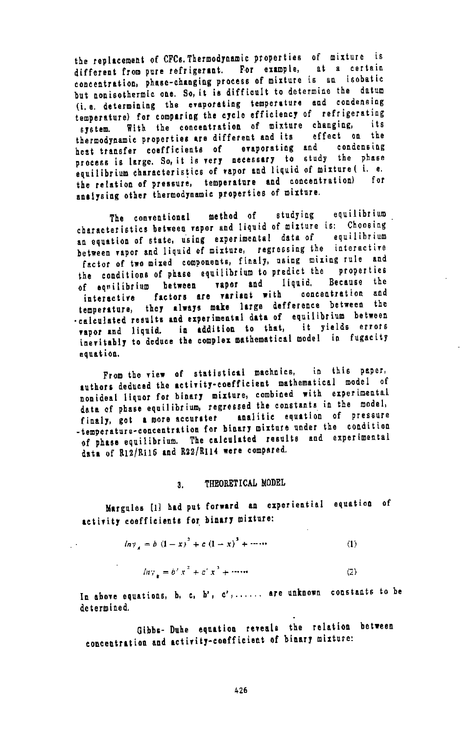the replacement of CFCs. Thermodynamic properties of mixture is different from pure refrigerant. For example, at a certain concentration, phase-changing process of mixture is an isobatic but nonisothermic one. So, it is difficult to determine the datum (i.e. determining the enporating temperature and condensing temperature) for comparing the cycle efficiency of refrigerating system. With the concentration of mixture changing, thermodynamic properties are different and ita effect on the heat transfer coefficients of evaporating and condensing process is large. So, it is very necessary to study the phase equilibrium characteristics of vapor and liquid of mixture ( i. e. the relation of pressure, temperature and concentration) for analysing other thermodynamic properties of mixture.

The conventional method of studying equilibrium characteristics between rapor and liquid of mixture is: Choosing an equation of state, using experimental data of equilibrium between vapor and liquid of mixture, regressing the interactive factor of two mixed components, finaly, using mixing rule and the conditions of phase equilibrium to predict the properties<br>of equilibrium between vapor and liquid. Because the f equilibrium between vapor and liquid. Because the<br>interactive factors are variant with concentration and interactive factors are variant with concentration and temperature, they always make large defference between the ·calculated results and experimental data of equilibrium between npor 1nd liquid. in addition to that, it yields errors inevitably to deduce the complex mathematical model in fugacity equation.

From the view of statistical machnics, in this paper, authors deduced the activity-coefficient mathematical model of nonideal liquor for binary mixture, combined with experimental data of phase equilibrium, regressed the constants in the model, finaly, got a more accurater analitic equation of pressure -temperature-concentration for binary mixture under the condition of phase equilibrium. The calculated results and experimental data of R12/R115 and R22/R114 were compared.

#### 3. THEORETICAL MODEL

Margules [1] had put forward an experiential equation of activity coefficients for binary mixture:

$$
\ln y_A = b (1 - x)^2 + c (1 - x)^3 + \cdots
$$
 (1)

 $\ddot{\phantom{a}}$ 

$$
ln \gamma_{\nu} = b' x^2 + c' x^3 + \cdots \tag{2}
$$

In above equations, b, c, b', c',...... are unknown constants to be determine d.

Gibbs- Duhe equation reveals the relation between concentration and activity-coefficient of binary mixture: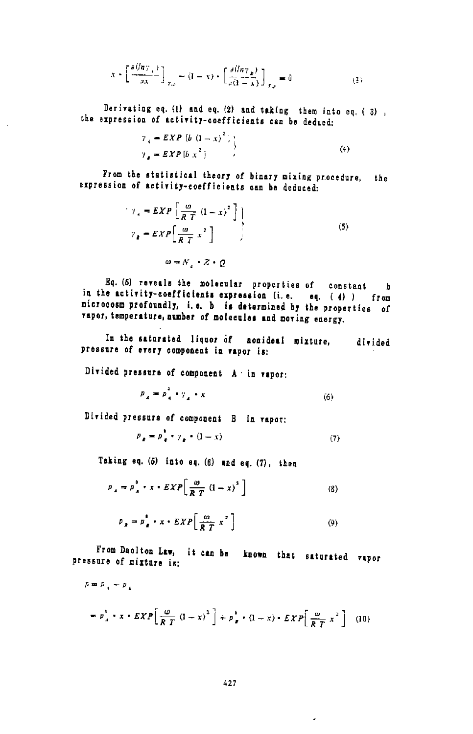$$
x + \left[\frac{\partial (ln\gamma_{\perp})}{\partial x}\right]_{x,y} = (1-x) + \left[\frac{\partial (ln\gamma_{\perp})}{\partial (1-x)}\right]_{x,y} = 0
$$
 (3)

Derivating eq. (1) and eq. (2) and taking them into eq. (3), the expression of activity-coefficients can be dedued:

$$
7_{4} = EXP \left[ b \left( 1 - x \right)^{2} \right] \tag{4}
$$
  

$$
7_{4} = EXP \left[ b \right] x^{2} \tag{5}
$$

From the statistical theory of binary mixing procedure, the expression of activity-coefficients can be deduced:

$$
\gamma_A = EXP\left[\frac{\omega}{RT}(1-x)^2\right] \\
\gamma_B = EXP\left[\frac{\omega}{RT}x^2\right]
$$
\n(5)

 $\omega = N_1 + Z + Q$ 

 $\ddot{\phantom{a}}$ 

Eq. (5) reveals the molecular properties of constant **b** in the activity-coefficients expression (i.e. eq.  $(4)$ ) from microcosm profoundly, i.e. b is determined by the properties of vapor, temperature, number of molecules and moving energy.

In the saturated liquor of nonideal mixture, divided pressure of every component in vapor is:

Divided pressure of component A in vapor:

$$
p_A = p_A^* \cdot \gamma_A \cdot x \tag{6}
$$

Divided pressure of component B in vapor:

$$
p_x = p_x + \gamma_x + (1 - x) \tag{7}
$$

Taking eq. (5) into eq. (6) and eq. (7), then

$$
p_A = p_A^0 + x + EXP\left[\frac{\omega}{RT} (1-x)^2\right]
$$
 (8)

$$
p_{\underline{x}} = p_{\underline{z}}^{\dagger} \cdot x \cdot EXP\left[\frac{\omega}{\widehat{R}T} x^2\right] \tag{9}
$$

From Daolton Law, it can be known that saturated vapor pressure of mixture is:

$$
p = p_x^* - p_L
$$
  
=  $p_x^* - x - EXP\left[\frac{\omega}{RT} (1-x)^2\right] + p_F^* (1-x) - EXP\left[\frac{\omega}{RT} x^2\right]$  (10)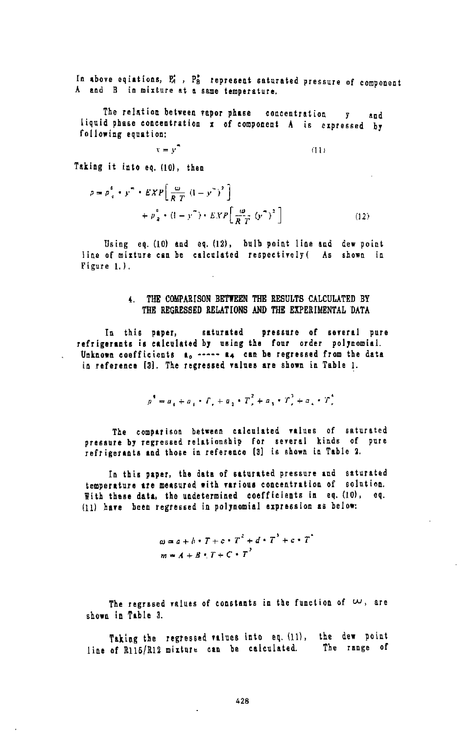In above eqiations, P<sub>4</sub>, P<sub>2</sub><sup>2</sup> represent saturated pressure of component A and B in mixture at a same temperature.

The relation between vapor phase concentration  $\mathbf{y}$ and liquid phase concentration x of component A is expressed by following equation:

 $(11)$ 

Taking it into eq. (10), then

 $x = y^2$ 

$$
p = p_{\alpha}^{\beta} + y^{\alpha} + EXP\left[\frac{\omega}{RT} \left(1 - y^{\alpha}\right)^{2}\right] + p_{\alpha}^{\beta} + \left(1 - y^{\alpha}\right) + EXP\left[\frac{\omega}{RT} \left(y^{\alpha}\right)^{2}\right]
$$
\n(12)

Using eq. (10) and eq. (12), bulb point line and dew point line of mixture can be calculated respectively ( As shown in Figure 1.).

#### 4. THE COMPARISON BETWEEN THE RESULTS CALCULATED BY THE REGRESSED RELATIONS AND THE EXPERIMENTAL DATA

saturated pressure of several pure In this paper, refrigerants is calculated by using the four order polynomial. Unknown coefficients a, ----- a, can be regressed from the data in reference [3]. The regressed values are shown in Table 1.

$$
p^{\dagger} = a_{\pm} + a_{\pm} + \Gamma_r + a_{\pm} + \Gamma_r^2 + a_{\pm} + \Gamma_r^3 + a_{\pm} + \Gamma_r^4
$$

The comparison between calculated values of saturated pressure by regressed relationship for several kinds of pure refrigerants and those in reference [3] is shown in Table 2.

In this paper, the data of saturated pressure and saturated temperature are measured with various concentration of solution. With these data, the undetermined coefficients in eq. (10), eq. (11) have been regressed in polynomial expression as below:

$$
\omega = a + b \cdot T + c \cdot T^2 + d \cdot T^3 + c \cdot T^2
$$
  

$$
m = A + B \cdot T + C \cdot T^2
$$

The regrased values of constants in the function of  $w$ , are shown in Table 3.

Taking the regressed values into eq. (11), the dew point line of R115/R12 mixture can be calculated. The range of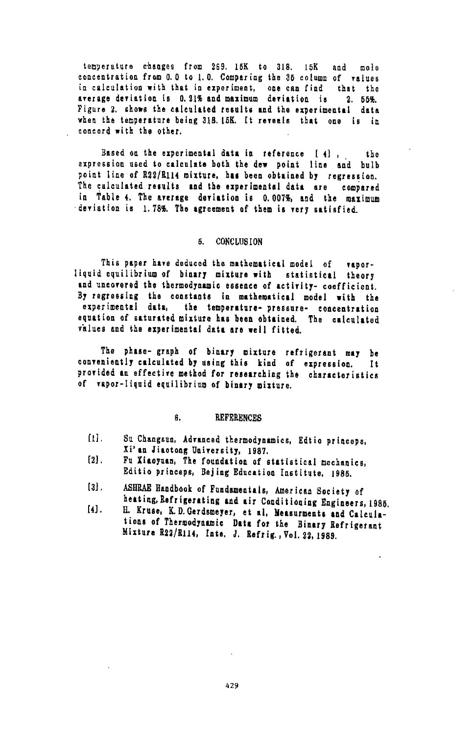temperature changes from 269. 15K to 318. 15K and mole concentration from 0.0 to 1.0. Comparing the 35 column of values in calculation with that in experiment, one can find that the<br>average deviation is 0.21% and maximum deviation is 2.55%. Figure 2. shows the calculated results and the experimental data when the temperature being 318.15K. It reveals that one is in concord with the other.

Based on the experimental data in reference [4], the expression used to calculate both the dew point line and bulb point line of R22/R114 mixture, has been obtained by regression. The calculated results and the experimental data are compared in Table 4. The average deviation is 0.007%, and the maximum deviation is 1.78%. The agreement of them is very satisfied.

#### 6. **CONCLUSION**

This paper have deduced the mathematical model of vaporliquid equilibrium of binary mixture with statistical theory and uncovered the thermodynamic essence of activity- coefficient. By regressing the constants in mathematical model with the experimental data, the temperature- pressure- concentration equation of saturated mixture has been obtained. The calculated values and the experimental data are well fitted.

The phase- graph of binary mixture refrigerant may be<br>conveniently calculated by using this kind of expression. It provided an effective method for researching the characteristics of vapor-liquid equilibrium of binary mixture.

#### 6. **REFERENCES**

- $[1]$ . Su Changsun, Advanced thermodynamics, Edtio princeps, Xi'an Jiaotong University, 1987.
- $[2]$ . Fu Xizoyuan, The foundation of statistical mechanics, Editio princeps, Bejing Education Institute, 1985.
- ASHRAE Handbook of Fundamentals, American Society of  $\left[3\right]$ . heating, Refrigerating and air Conditioning Engineers, 1985.
- H. Kruse, K.D. Gerdsmeyer, et al, Measurments and Calcula- $[4]$ . tions of Thermodynamic Data for the Binary Refrigerant Mixture R22/R114, Inte. J. Refrig., Vol. 22, 1989.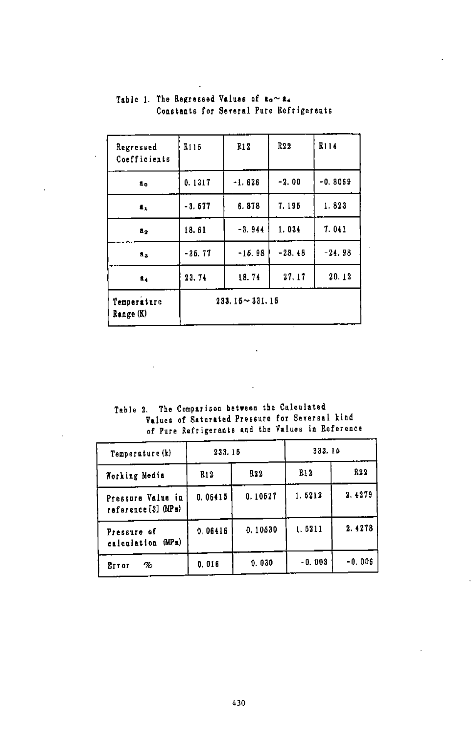| Regressed<br>Coefficients | R115              | <b>R12</b> | R <sub>22</sub> | R114      |  |
|---------------------------|-------------------|------------|-----------------|-----------|--|
| ã.                        | 0.1317            | $-1.626$   | $-2.00$         | $-0.8069$ |  |
| $\mathbf{I}_1$            | $-3.677$          | 6.878      | 7.195           | 1.823     |  |
| 1.2                       | 18.61             | $-3.944$   | 1.034           | 7.041     |  |
| ãa                        | $-36.77$          | $-15.98$   | $-28.48$        | $-24.98$  |  |
| ۵.                        | 23.74             | 18.74      | 27.17           | 20.12     |  |
| Temperature<br>Range (K)  | $233.15 - 331.15$ |            |                 |           |  |

## Table 1. The Regressed Values of  $a_0 \sim a_4$ Constants for Several Pure Refrigerants

Table 2. The Comparison between the Calculated Values of Saturated Pressure for Seversal kind of Pure Refrigerants and the Values in Reference

| Temperature (k)                          | 233.15  |         | 333.15   |                  |
|------------------------------------------|---------|---------|----------|------------------|
| Working Media                            | R12     | R22     | R12      | R <sub>2</sub> 2 |
| Pressure Value in<br>reference [3] (MPa) | 0.06415 | 0.10527 | 1.5212   | 2.4279           |
| Pressure of<br>calculation (MPa)         | 0.06416 | 0.10630 | 1.5211   | 2.4278           |
| %<br>Error                               | 0.016   | 0.030   | $-0.003$ | -0.006           |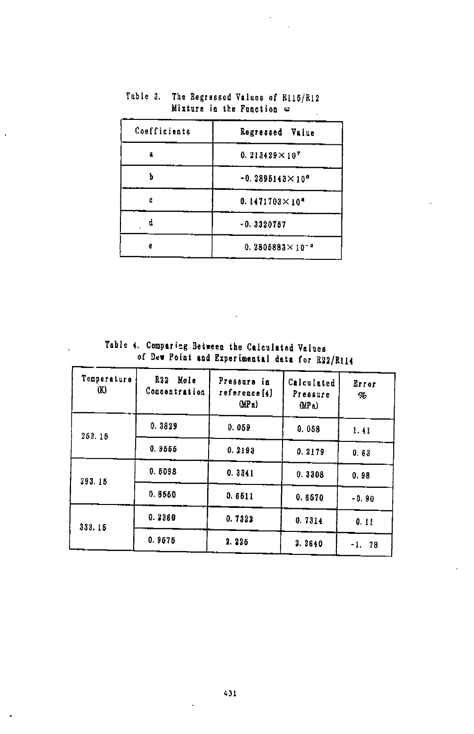| Coefficients | Regressed Value                    |  |
|--------------|------------------------------------|--|
| ø            | $0.213429 \times 10^{7}$           |  |
|              | $-0.2895143 \times 10^{6}$         |  |
| ŕ.           | 0.1471703 $\times$ 10 <sup>*</sup> |  |
|              | $-0.3320757$                       |  |
| e            | $0.2805883 \times 10^{-8}$         |  |

Table 3. The Regressed Values of Ri15/R12 Mixture in the Function  $\omega$  $\overline{a}$ 

÷.

Table 4. Comparing Between the Calculated Values of Dew Point and Experimental data for R22/R114

| Temperatura<br>Œ) | R22<br>Mole<br>Concentration | Pressure in<br>reference[4]<br>(MPa) | Calculated<br>Pressure<br>(MP <sub>0</sub> ) | Error<br>% |
|-------------------|------------------------------|--------------------------------------|----------------------------------------------|------------|
| 253.15            | 0.3829                       | 0.059                                | 0.058                                        | 1.41       |
|                   | 0.9555                       | 0.2193                               | 0.2179                                       | 0.63       |
| 293.15            | 0.5098                       | 0.3341                               | 0.3308                                       | 0.98       |
|                   | 0.8550                       | 0.6511                               | 0.6570                                       | $-0.90$    |
| 333.15            | 0.2360                       | 0.7322                               | 0.7314                                       | 0.11       |
|                   | 0.9575                       | 2.225                                | 2.2640                                       | $-1.78$    |